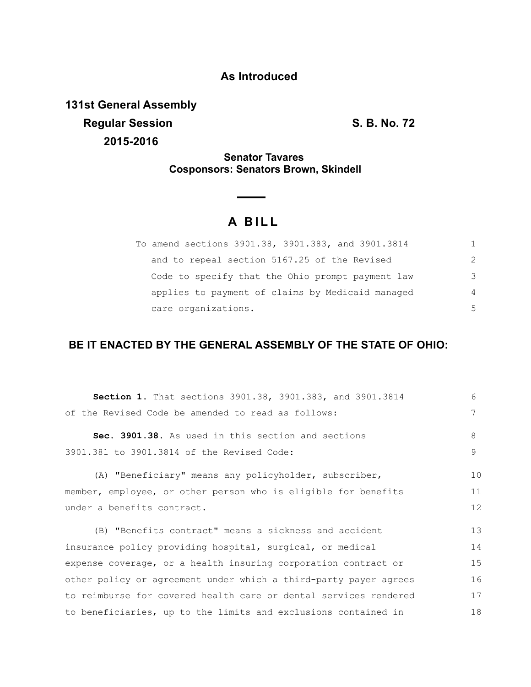## **As Introduced**

**131st General Assembly Regular Session S. B. No. 72 2015-2016**

## **Senator Tavares Cosponsors: Senators Brown, Skindell**

## **A B I L L**

| To amend sections 3901.38, 3901.383, and 3901.3814 |                |
|----------------------------------------------------|----------------|
| and to repeal section 5167.25 of the Revised       | $\mathcal{P}$  |
| Code to specify that the Ohio prompt payment law   | 3              |
| applies to payment of claims by Medicaid managed   | $\overline{4}$ |
| care organizations.                                | .5             |

## **BE IT ENACTED BY THE GENERAL ASSEMBLY OF THE STATE OF OHIO:**

| Section 1. That sections 3901.38, 3901.383, and 3901.3814        | 6  |
|------------------------------------------------------------------|----|
| of the Revised Code be amended to read as follows:               | 7  |
| Sec. 3901.38. As used in this section and sections               | 8  |
| 3901.381 to 3901.3814 of the Revised Code:                       | 9  |
| (A) "Beneficiary" means any policyholder, subscriber,            | 10 |
| member, employee, or other person who is eligible for benefits   | 11 |
| under a benefits contract.                                       | 12 |
| (B) "Benefits contract" means a sickness and accident            | 13 |
| insurance policy providing hospital, surgical, or medical        | 14 |
| expense coverage, or a health insuring corporation contract or   | 15 |
| other policy or agreement under which a third-party payer agrees | 16 |
| to reimburse for covered health care or dental services rendered | 17 |
| to beneficiaries, up to the limits and exclusions contained in   | 18 |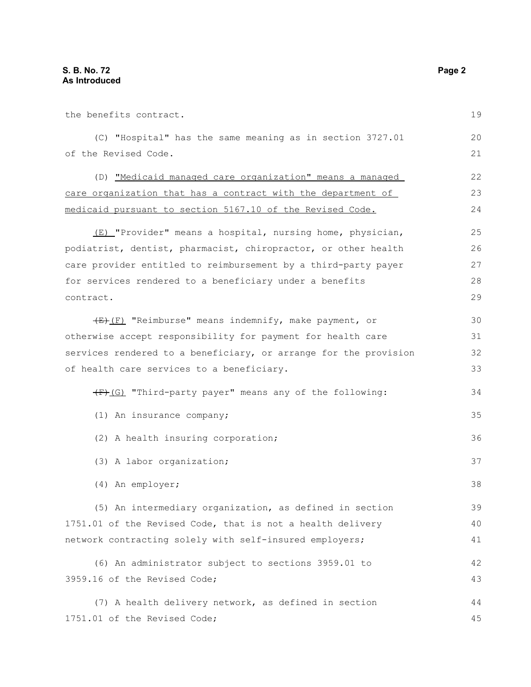| the benefits contract.                                                            | 19       |
|-----------------------------------------------------------------------------------|----------|
| (C) "Hospital" has the same meaning as in section 3727.01<br>of the Revised Code. | 20<br>21 |
|                                                                                   |          |
| (D) "Medicaid managed care organization" means a managed                          | 22       |
| care organization that has a contract with the department of                      | 23       |
| medicaid pursuant to section 5167.10 of the Revised Code.                         | 24       |
| (E) "Provider" means a hospital, nursing home, physician,                         | 25       |
| podiatrist, dentist, pharmacist, chiropractor, or other health                    | 26       |
| care provider entitled to reimbursement by a third-party payer                    | 27       |
| for services rendered to a beneficiary under a benefits                           | 28       |
| contract.                                                                         | 29       |
| $(E)$ "Reimburse" means indemnify, make payment, or                               | 30       |
| otherwise accept responsibility for payment for health care                       | 31       |
| services rendered to a beneficiary, or arrange for the provision                  | 32       |
| of health care services to a beneficiary.                                         |          |
| (F)(G) "Third-party payer" means any of the following:                            | 34       |
| (1) An insurance company;                                                         | 35       |
| (2) A health insuring corporation;                                                | 36       |
| (3) A labor organization;                                                         | 37       |
| (4) An employer;                                                                  | 38       |
| (5) An intermediary organization, as defined in section                           | 39       |
| 1751.01 of the Revised Code, that is not a health delivery                        | 40       |
| network contracting solely with self-insured employers;                           | 41       |
| (6) An administrator subject to sections 3959.01 to                               | 42       |
| 3959.16 of the Revised Code;                                                      | 43       |
| (7) A health delivery network, as defined in section                              | 44       |
| 1751.01 of the Revised Code;                                                      | 45       |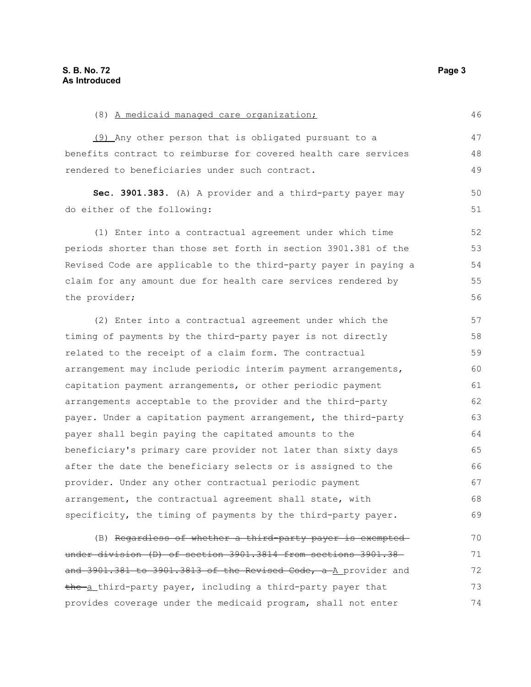| (9) Any other person that is obligated pursuant to a             | 47 |
|------------------------------------------------------------------|----|
| benefits contract to reimburse for covered health care services  | 48 |
| rendered to beneficiaries under such contract.                   | 49 |
| Sec. 3901.383. (A) A provider and a third-party payer may        | 50 |
| do either of the following:                                      | 51 |
| (1) Enter into a contractual agreement under which time          | 52 |
| periods shorter than those set forth in section 3901.381 of the  | 53 |
| Revised Code are applicable to the third-party payer in paying a | 54 |
| claim for any amount due for health care services rendered by    | 55 |
| the provider;                                                    | 56 |
| (2) Enter into a contractual agreement under which the           | 57 |
| timing of payments by the third-party payer is not directly      | 58 |
| related to the receipt of a claim form. The contractual          | 59 |
| arrangement may include periodic interim payment arrangements,   | 60 |
| capitation payment arrangements, or other periodic payment       | 61 |
| arrangements acceptable to the provider and the third-party      | 62 |
| payer. Under a capitation payment arrangement, the third-party   | 63 |
| payer shall begin paying the capitated amounts to the            | 64 |
| beneficiary's primary care provider not later than sixty days    | 65 |
| after the date the beneficiary selects or is assigned to the     | 66 |
| provider. Under any other contractual periodic payment           | 67 |
| arrangement, the contractual agreement shall state, with         | 68 |
| specificity, the timing of payments by the third-party payer.    | 69 |
| (B) Regardless of whether a third party payer is exempted-       | 70 |
| under division (D) of section 3901.3814 from sections 3901.38-   | 71 |
| and 3901.381 to 3901.3813 of the Revised Code, a A provider and  | 72 |
| the a third-party payer, including a third-party payer that      | 73 |
| provides coverage under the medicaid program, shall not enter    | 74 |

(8) A medicaid managed care organization;

46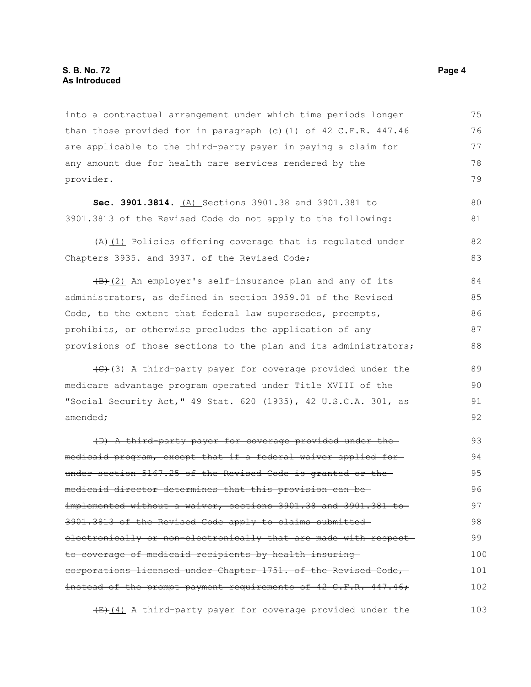into a contractual arrangement under which time periods longer than those provided for in paragraph (c)(1) of  $42$  C.F.R.  $447.46$ are applicable to the third-party payer in paying a claim for any amount due for health care services rendered by the provider. 75 76 77 78 79

**Sec. 3901.3814.** (A) Sections 3901.38 and 3901.381 to 3901.3813 of the Revised Code do not apply to the following:

 $(A)$ (1) Policies offering coverage that is regulated under Chapters 3935. and 3937. of the Revised Code;

 $(B)$ (2) An employer's self-insurance plan and any of its administrators, as defined in section 3959.01 of the Revised Code, to the extent that federal law supersedes, preempts, prohibits, or otherwise precludes the application of any provisions of those sections to the plan and its administrators; 84 85 86 87 88

 $(3)$  A third-party payer for coverage provided under the medicare advantage program operated under Title XVIII of the "Social Security Act," 49 Stat. 620 (1935), 42 U.S.C.A. 301, as amended;

(D) A third-party payer for coverage provided under the medicaid program, except that if a federal waiver applied for under section 5167.25 of the Revised Code is granted or the medicaid director determines that this provision can be implemented without a waiver, sections 3901.38 and 3901.381 to 3901.3813 of the Revised Code apply to claims submitted electronically or non-electronically that are made with respectto coverage of medicaid recipients by health insuring corporations licensed under Chapter 1751. of the Revised Code, instead of the prompt payment requirements of 42 C.F.R. 447.46; 93 94 95 96 97 98 99 100 101 102

 $(E)$  (4) A third-party payer for coverage provided under the 103

80 81

82 83